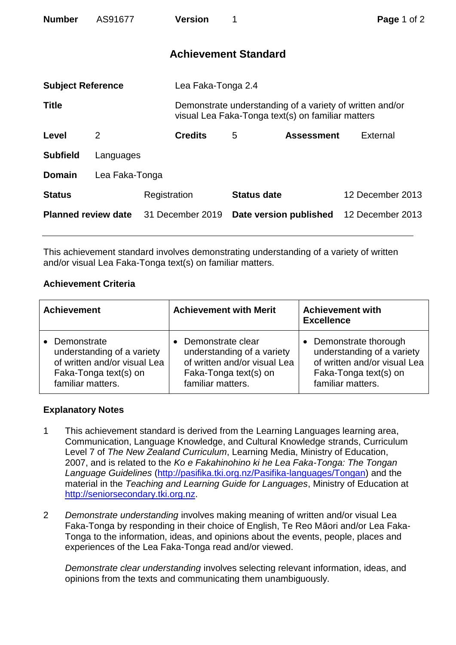| <b>Number</b>              | AS91677        |              | <b>Version</b>     | 1                           |                                                   | Page 1 of 2                                              |  |
|----------------------------|----------------|--------------|--------------------|-----------------------------|---------------------------------------------------|----------------------------------------------------------|--|
|                            |                |              |                    | <b>Achievement Standard</b> |                                                   |                                                          |  |
| <b>Subject Reference</b>   |                |              | Lea Faka-Tonga 2.4 |                             |                                                   |                                                          |  |
| <b>Title</b>               |                |              |                    |                             | visual Lea Faka-Tonga text(s) on familiar matters | Demonstrate understanding of a variety of written and/or |  |
| Level                      | 2              |              | <b>Credits</b>     | 5                           | <b>Assessment</b>                                 | External                                                 |  |
| <b>Subfield</b>            | Languages      |              |                    |                             |                                                   |                                                          |  |
| <b>Domain</b>              | Lea Faka-Tonga |              |                    |                             |                                                   |                                                          |  |
| <b>Status</b>              |                | Registration |                    | <b>Status date</b>          |                                                   | 12 December 2013                                         |  |
| <b>Planned review date</b> |                |              | 31 December 2019   |                             | Date version published                            | 12 December 2013                                         |  |

This achievement standard involves demonstrating understanding of a variety of written and/or visual Lea Faka-Tonga text(s) on familiar matters.

## **Achievement Criteria**

| <b>Achievement</b>           | <b>Achievement with Merit</b> | <b>Achievement with</b><br><b>Excellence</b> |  |
|------------------------------|-------------------------------|----------------------------------------------|--|
| Demonstrate                  | Demonstrate clear             | Demonstrate thorough                         |  |
| understanding of a variety   | understanding of a variety    | understanding of a variety                   |  |
| of written and/or visual Lea | of written and/or visual Lea  | of written and/or visual Lea                 |  |
| Faka-Tonga text(s) on        | Faka-Tonga text(s) on         | Faka-Tonga text(s) on                        |  |
| familiar matters.            | familiar matters.             | familiar matters.                            |  |

## **Explanatory Notes**

- 1 This achievement standard is derived from the Learning Languages learning area, Communication, Language Knowledge, and Cultural Knowledge strands, Curriculum Level 7 of *The New Zealand Curriculum*, Learning Media, Ministry of Education, 2007, and is related to the *Ko e Fakahinohino ki he Lea Faka-Tonga: The Tongan Language Guidelines* [\(http://pasifika.tki.org.nz/Pasifika-languages/Tongan\)](http://pasifika.tki.org.nz/Pasifika-languages/Tongan) and the material in the *Teaching and Learning Guide for Languages*, Ministry of Education at [http://seniorsecondary.tki.org.nz.](http://seniorsecondary.tki.org.nz/)
- 2 *Demonstrate understanding* involves making meaning of written and/or visual Lea Faka-Tonga by responding in their choice of English, Te Reo Māori and/or Lea Faka-Tonga to the information, ideas, and opinions about the events, people, places and experiences of the Lea Faka-Tonga read and/or viewed.

*Demonstrate clear understanding* involves selecting relevant information, ideas, and opinions from the texts and communicating them unambiguously.